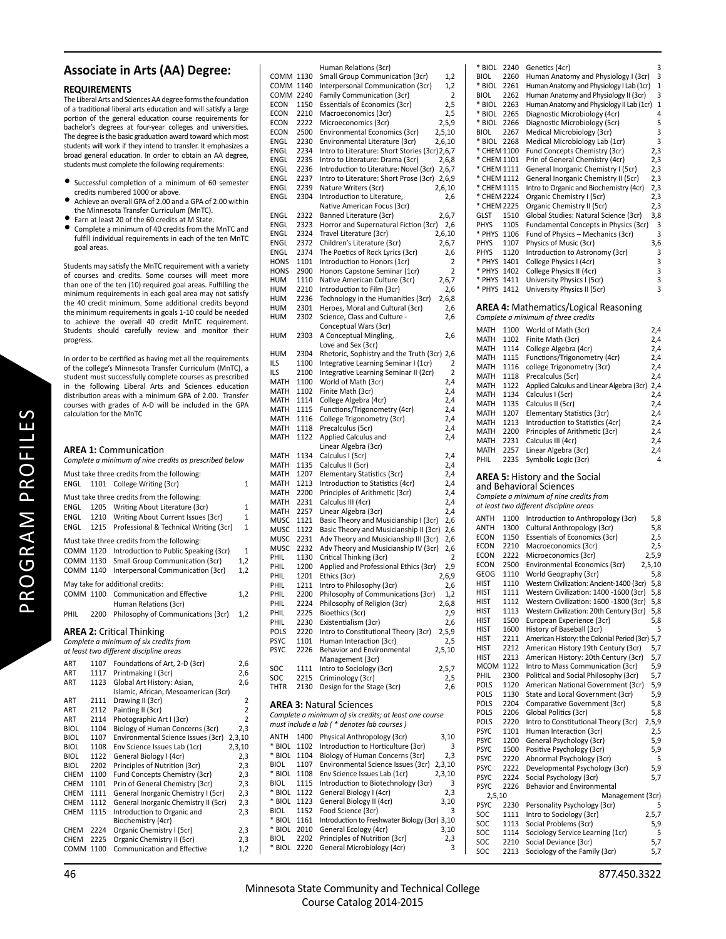## **Associate in Arts (AA) Degree:**

## **REQUIREMENTS**

The Liberal Arts and Sciences AA degree forms the foundation of a traditional liberal arts education and will satisfy a large portion of the general education course requirements for bachelor's degrees at four-year colleges and universities. The degree is the basic graduation award toward which most students will work if they intend to transfer. It emphasizes a broad general education. In order to obtain an AA degree, students must complete the following requirements:

- Successful completion of a minimum of 60 semester credits numbered 1000 or above.
- Achieve an overall GPA of 2.00 and a GPA of 2.00 within the Minnesota Transfer Curriculum (MnTC).
- Earn at least 20 of the 60 credits at M State.
- Complete a minimum of 40 credits from the MnTC and fulfill individual requirements in each of the ten MnTC goal areas.

Students may satisfy the MnTC requirement with a variety of courses and credits. Some courses will meet more than one of the ten (10) required goal areas. Fulfilling the minimum requirements in each goal area may not satisfy the 40 credit minimum. Some additional credits beyond the minimum requirements in goals 1-10 could be needed to achieve the overall 40 credit MnTC requirement. Students should carefully review and monitor their progress.

In order to be certified as having met all the requirements of the college's Minnesota Transfer Curriculum (MnTC), a student must successfully complete courses as prescribed in the following Liberal Arts and Sciences education distribution areas with a minimum GPA of 2.00. Transfer courses with grades of A-D will be included in the GPA calculation for the MnTC

|                        | <b>AREA 1: Communication</b><br>Complete a minimum of nine credits as prescribed below                                              |                                  |
|------------------------|-------------------------------------------------------------------------------------------------------------------------------------|----------------------------------|
| ENGL                   | Must take three credits from the following:<br>College Writing (3cr)<br>1101                                                        | 1                                |
| ENGL<br>ENGL           | Must take three credits from the following:<br>Writing About Literature (3cr)<br>1205<br>Writing About Current Issues (3cr)<br>1210 | 1<br>$\mathbf{1}$                |
| ENGL                   | 1215<br>Professional & Technical Writing (3cr)                                                                                      | $\mathbf{1}$                     |
|                        | Must take three credits from the following:                                                                                         |                                  |
| COMM 1120              | Introduction to Public Speaking (3cr)                                                                                               | 1                                |
| COMM 1130<br>COMM 1140 | Small Group Communication (3cr)<br>Interpersonal Communication (3cr)                                                                | 1,2<br>1,2                       |
|                        |                                                                                                                                     |                                  |
|                        | May take for additional credits:                                                                                                    |                                  |
| COMM 1100              | Communication and Effective                                                                                                         | 1,2                              |
|                        | Human Relations (3cr)                                                                                                               |                                  |
| PHIL                   | Philosophy of Communications (3cr)<br>2200                                                                                          | 1,2                              |
|                        | <b>AREA 2: Critical Thinking</b><br>Complete a minimum of six credits from<br>at least two different discipline areas               |                                  |
| ART                    | Foundations of Art, 2-D (3cr)<br>1107                                                                                               | 2,6                              |
| ART                    | 1117<br>Printmaking I (3cr)                                                                                                         | 2,6                              |
| ART                    | 1123<br>Global Art History: Asian,                                                                                                  | 2,6                              |
|                        | Islamic, African, Mesoamerican (3cr)                                                                                                |                                  |
| ART                    | 2111<br>Drawing II (3cr)                                                                                                            | 2                                |
| ART                    | 2112<br>Painting II (3cr)                                                                                                           | $\overline{2}$<br>$\overline{2}$ |
| ART<br><b>BIOL</b>     | 2114<br>Photographic Art I (3cr)<br>Biology of Human Concerns (3cr)<br>1104                                                         | 2,3                              |
| <b>BIOL</b>            | Environmental Science Issues (3cr)<br>1107<br>2,3,10                                                                                |                                  |
| <b>BIOL</b>            | 2,3,10<br>1108<br>Env Science Issues Lab (1cr)                                                                                      |                                  |
| BIOL                   | 1122<br>General Biology I (4cr)                                                                                                     | 2,3                              |
| <b>BIOL</b>            | 2202<br>Principles of Nutrition (3cr)                                                                                               | 2,3                              |
| CHEM                   | Fund Concepts Chemistry (3cr)<br>1100                                                                                               | 2,3                              |
| <b>CHEM</b>            | Prin of General Chemistry (3cr)<br>1101                                                                                             | 2,3                              |
| <b>CHEM</b>            | General Inorganic Chemistry I (5cr)<br>1111                                                                                         | 2,3                              |
| CHEM                   | 1112<br>General Inorganic Chemistry II (5cr)                                                                                        | 2,3                              |
| <b>CHEM</b>            | 1115<br>Introduction to Organic and<br>Biochemistry (4cr)                                                                           | 2,3                              |
| <b>CHEM</b>            | 2224<br>Organic Chemistry I (5cr)                                                                                                   | 2,3                              |
| <b>CHEM</b>            | 2225<br>Organic Chemistry II (5cr)                                                                                                  | 2,3                              |
| COMM                   | Communication and Effective<br>1100                                                                                                 | 1,2                              |

Human Relations (3cr)<br>COMM 1130 Small Group Communi COMM 1130 Small Group Communication (3cr) 1,2<br>COMM 1140 Interpersonal Communication (3cr) 1.2 COMM 1140 Interpersonal Communication (3cr) 1,2<br>COMM 2240 Family Communication (3cr) 2 COMM 2240 Family Communication (3cr)<br>ECON 1150 Essentials of Economics (3cr) 1150 Essentials of Economics (3cr) 2,5 ECON 2210 Macroeconomics (3cr) 2,5<br>ECON 2222 Microeconomics (3cr) 2,5,9 ECON 2222 Microeconomics (3cr) 2,5,9<br>ECON 2500 Environmental Economics (3cr) 2,5,10 ECON 2500 Environmental Economics (3cr) 2,5,10<br>ENGL 2230 Environmental Literature (3cr) 2.6.10 ENGL 2230 Environmental Literature (3cr)<br>ENGL 2234 Intro to Literature: Short Storie 2234 Intro to Literature: Short Stories (3cr) 2,6,7<br>2235 Intro to Literature: Drama (3cr) 2.6.8 ENGL 2235 Intro to Literature: Drama (3cr) 2,6,8<br>ENGL 2236 Introduction to Literature: Novel (3cr) 2.6.7 ENGL 2236 Introduction to Literature: Novel (3cr) 2,6,7<br>ENGL 2237 Intro to Literature: Short Prose (3cr) 2,6,9 ENGL 2237 Intro to Literature: Short Prose (3cr) 2,6,9 ENGL 2239 Nature Writers (3cr)<br>ENGL 2304 Introduction to Litera Introduction to Literature, 2,6 Native American Focus (3cr)<br>FNGI 2322 Banned Literature (3cr) ENGL 2322 Banned Literature (3cr) 2,6,7<br>ENGL 2323 Horror and Supernatural Fiction (3cr) 2,6 ENGL 2323 Horror and Supernatural Fiction (3cr) 2,6<br>ENGL 2324 Travel Literature (3cr) 2.6.10 ENGL 2324 Travel Literature (3cr) 2,6,10<br>ENGL 2372 Children's Literature (3cr) 2,6,7 ENGL 2372 Children's Literature (3cr)<br>ENGL 2374 The Poetics of Rock Lyrics ENGL 2374 The Poetics of Rock Lyrics (3cr) 2,6<br>HONS 1101 Introduction to Honors (1cr) 2 HONS 1101 Introduction to Honors (1cr)<br>HONS 2900 Honors Capstone Seminar (1) Honors Capstone Seminar (1cr) 2 HUM 1110 Native American Culture (3cr) 2,6,7<br>HUM 2210 Introduction to Film (3cr) 2,6 HUM 2210 Introduction to Film (3cr) 2,6<br>HUM 2236 Technology in the Humanities (3cr) 2.6.8 HUM 2236 Technology in the Humanities (3cr) 2,6,8<br>HUM 2301 Heroes, Moral and Cultural (3cr) 2,6 HUM 2301 Heroes, Moral and Cultural (3cr) 2,6<br>HUM 2302 Science, Class and Culture - 2.6 Science, Class and Culture - 2.6 Conceptual Wars (3cr)<br>HUM 2303 A Conceptual Mingling A Conceptual Mingling, 2,6 Love and Sex (3cr)<br>HUM 2304 Rhetoric Sophistry HUM 2304 Rhetoric, Sophistry and the Truth (3cr) 2,6<br>ILS 1100 Integrative Learning Seminar I (1cr) 2 ILS 1100 Integrative Learning Seminar I (1cr)<br>ILS 2100 Integrative Learning Seminar II (2cr) ILS 2100 Integrative Learning Seminar II (2cr) 2<br>MATH 1100 World of Math (3cr) 2.4 MATH 1100 World of Math (3cr) 2,4<br>MATH 1102 Finite Math (3cr) 2.4 MATH 1102 Finite Math (3cr) 2,4<br>MATH 1114 College Algebra (4cr) 2,4 MATH 1114 College Algebra (4cr) 12,4<br>MATH 1115 Functions/Trigonometry (4cr) 2,4 MATH 1115 Functions/Trigonometry (4cr) 2,4<br>MATH 1116 College Trigonometry (3cr) 2,4 MATH 1116 College Trigonometry (3cr) 2,4<br>MATH 1118 Precalculus (5cr) 2.4 MATH 1118 Precalculus (5cr) 2,4<br>MATH 1122 Applied Calculus and 2,4 Applied Calculus and Linear Algebra (3cr)<br>MATH 1134 Calculus I (5cr) Calculus I (5cr) 2,4 MATH 1135 Calculus II (5cr) 2,4<br>MATH 1207 Flementary Statistics (3cr) 24 Elementary Statistics (3cr) MATH 1213 Introduction to Statistics (4cr) 2,4<br>MATH 2200 Principles of Arithmetic (3cr) 2.4 MATH 2200 Principles of Arithmetic (3cr)<br>MATH 2231 Calculus III (4cr) 2231 Calculus III (4cr) 2.4 MATH 2257 Linear Algebra (3cr) 2,4<br>MUSC 1121 Basic Theory and Musicianship I (3cr) 2,6 Basic Theory and Musicianship I (3cr) MUSC 1122 Basic Theory and Musicianship II (3cr) 2,6<br>MUSC 2231 Adv Theory and Musicianship III (3cr) 2,6 MUSC 2231 Adv Theory and Musicianship III (3cr)<br>MUSC 2232 Adv Theory and Musicianship IV (3cr) MUSC 2232 Adv Theory and Musicianship IV (3cr) 2,6 PHIL 1130 Critical Thinking (3cr)<br>PHIL 1200 Applied and Professional Ethics (3cr) 2.9 PHIL 1200 Applied and Professional Ethics (3cr) 2,9<br>PHIL 1201 Ethics (3cr) 2.6.9 PHIL 1201 Ethics (3cr) 2,6,9<br>PHIL 1211 Intro to Philosophy (3cr) 2.6 PHIL 1211 Intro to Philosophy (3cr) 2,6<br>PHIL 2200 Philosophy of Communications (3cr) 1,2 PHIL 2200 Philosophy of Communications (3cr) 1,2<br>PHIL 2224 Philosophy of Religion (3cr) 2.6.8 PHIL 2224 Philosophy of Religion (3cr) 2,6,8<br>PHIL 2225 Bioethics (3cr) 2,9 Bioethics (3cr) PHIL 2230 Existentialism (3cr) 2.6<br>POLS 2220 Intro to Constitutional Theory (3cr) 2.5.9 Intro to Constitutional Theory (3cr) PSYC 1101 Human Interaction (3cr) 2,5<br>PSYC 2226 Behavior and Environmental 2.5.10 Behavior and Environmental Management (3cr) SOC 1111 Intro to Sociology (3cr) 2,5,7<br>SOC 2215 Criminology (3cr) 2.5 Criminology (3cr) THTR 2130 Design for the Stage (3cr) 2,6 **AREA 3:** Natural Sciences *Complete a minimum of six credits; at least one course must include a lab ( \* denotes lab courses )* ANTH 1400 Physical Anthropology (3cr) 3,10<br>\* BIOL 1102 Introduction to Horticulture (3cr) 3 \* BIOL 1102 Introduction to Horticulture (3cr) 3<br>\* BIOL 1104 Biology of Human Concerns (3cr) 2,3 \* BIOL 1104 Biology of Human Concerns (3cr) 2,3 BIOL 1107 Environmental Science Issues (3cr) 2,3,10<br>\* BIOL 1108 Env Science Issues Lab (1cr) 2.3.10 \* BIOL 1108 Env Science Issues Lab (1cr)<br>BIOL 1115 Introduction to Biotechnolog BIOL 1115 Introduction to Biotechnology (3cr) 3<br>\* BIOL 1122 General Biology I (4cr) 2,3 \* BIOL 1122 General Biology I (4cr) 2,3<br>\* BIOL 1123 General Biology II (4cr) 3,10 \* BIOL 1123 General Biology II (4cr)<br>BIOL 1152 Food Science (3cr) BIOL 1152 Food Science (3cr)<br>\* BIOL 1161 Introduction to Fresh \* BIOL 1161 IntroducƟ on to Freshwater Biology (3cr) 3,10 \* BIOL 2010 General Ecology (4cr) 3,10 BIOL 2202 Principles of Nutrition (3cr) 2,3<br>
EXPRESS 2220 General Microbiology (4cr) 3 General Microbiology (4cr)

| * BIOL                     | 2240         | Genetics (4cr)                                                                    | 3              |
|----------------------------|--------------|-----------------------------------------------------------------------------------|----------------|
| <b>BIOL</b><br>* BIOL      | 2260         | Human Anatomy and Physiology I (3cr)                                              | 3              |
| BIOL                       | 2261<br>2262 | Human Anatomy and Physiology I Lab (1cr)<br>Human Anatomy and Physiology II (3cr) | 1<br>3         |
| * BIOL                     | 2263         | Human Anatomy and Physiology II Lab (1cr)                                         | 1              |
| * BIOL                     | 2265         | Diagnostic Microbiology (4cr)                                                     | 4              |
| * BIOL                     | 2266         | Diagnostic Microbiology (5cr)                                                     | 5              |
| BIOL                       | 2267         | Medical Microbiology (3cr)                                                        | 3              |
| * BIOL                     | 2268         | Medical Microbiology Lab (1cr)                                                    | 3              |
| * CHEM 1100                |              | Fund Concepts Chemistry (3cr)                                                     | 2,3            |
| * CHEM 1101                |              | Prin of General Chemistry (4cr)                                                   | 2,3            |
| * CHEM 1111                |              | General Inorganic Chemistry I (5cr)                                               | 2,3            |
| * CHEM 1112<br>* CHEM 1115 |              | General Inorganic Chemistry II (5cr)                                              | 2,3            |
| * CHEM 2224                |              | Intro to Organic and Biochemistry (4cr)<br>Organic Chemistry I (5cr)              | 2,3<br>2,3     |
| * CHEM 2225                |              | Organic Chemistry II (5cr)                                                        | 2,3            |
| GLST                       | 1510         | Global Studies: Natural Science (3cr)                                             | 3,8            |
| PHYS                       | 1105         | Fundamental Concepts in Physics (3cr)                                             | 3              |
| * PHYS                     | 1106         | Fund of Physics – Mechanics (3cr)                                                 | 3              |
| PHYS                       | 1107         | Physics of Music (3cr)                                                            | 3,6            |
| PHYS                       | 1120         | Introduction to Astronomy (3cr)                                                   | 3              |
| * PHYS                     | 1401         | College Physics I (4cr)                                                           | 3              |
| * PHYS                     | 1402         | College Physics II (4cr)                                                          | 3              |
| * PHYS                     | 1411         | University Physics I (5cr)                                                        | 3              |
| * PHYS                     | 1412         | University Physics II (5cr)                                                       | 3              |
|                            |              | <b>AREA 4:</b> Mathematics/Logical Reasoning                                      |                |
|                            |              | Complete a minimum of three credits                                               |                |
| MATH                       | 1100         | World of Math (3cr)                                                               | 2,4            |
| <b>MATH</b>                | 1102         | Finite Math (3cr)                                                                 | 2,4            |
| MATH                       | 1114         | College Algebra (4cr)                                                             | 2,4            |
| MATH                       | 1115         | Functions/Trigonometry (4cr)                                                      | 2,4            |
| MATH                       | 1116         | college Trigonometry (3cr)                                                        | 2,4            |
| MATH                       | 1118         | Precalculus (5cr)                                                                 | 2,4            |
| MATH                       | 1122         | Applied Calculus and Linear Algebra (3cr)                                         | 2,4            |
| MATH                       | 1134         | Calculus I (5cr)                                                                  | 2,4            |
| MATH                       | 1135         | Calculus II (5cr)                                                                 | 2,4            |
| MATH<br>MATH               | 1207<br>1213 | Elementary Statistics (3cr)                                                       | 2,4<br>2,4     |
| MATH                       | 2200         | Introduction to Statistics (4cr)<br>Principles of Arithmetic (3cr)                | 2,4            |
| MATH                       | 2231         | Calculus III (4cr)                                                                | 2,4            |
| MATH                       | 2257         | Linear Algebra (3cr)                                                              | 2,4            |
| PHIL                       | 2235         | Symbolic Logic (3cr)                                                              | 4              |
|                            |              |                                                                                   |                |
|                            |              | <b>AREA 5: History and the Social</b>                                             |                |
|                            |              | and Behavioral Sciences                                                           |                |
|                            |              | Complete a minimum of nine credits from                                           |                |
|                            |              | at least two different discipline areas                                           |                |
| <b>ANTH</b>                | 1100         | Introduction to Anthropology (3cr)                                                | 5,8            |
| <b>ANTH</b><br>ECON        | 1300<br>1150 | Cultural Anthropology (3cr)                                                       | 5,8<br>2,5     |
| ECON                       | 2210         | Essentials of Economics (3cr)<br>Macroeconomics (3cr)                             | 2,5            |
| ECON                       | 2222         | Microeconomics (3cr)                                                              | 2,5,9          |
| ECON                       | 2500         | Environmental Economics (3cr)                                                     | 2,5,10         |
| GEOG                       | 1110         | World Geography (3cr)                                                             | 5,8            |
| hist                       | 1110         | Western Civilization: Ancient-1400 (3cr)                                          | 5,8            |
| <b>HIST</b>                | 1111         | Western Civilization: 1400 -1600 (3cr)                                            | 5,8            |
| HIST                       | 1112         | Western Civilization: 1600 -1800 (3cr)                                            | 5,8            |
| hist                       |              |                                                                                   |                |
| hist                       | 1113         | Western Civilization: 20th Century (3cr)                                          | 5,8            |
| HIST<br>HIST               | 1500         | European Experience (3cr)                                                         | 5,8            |
| HIST                       | 1600         | History of Baseball (3cr)                                                         | 5              |
| HIST                       | 2211         | American History: the Colonial Period (3cr)                                       | 5,7            |
|                            | 2212         | American History 19th Century (3cr)                                               | 5,7            |
| MCOM                       | 2213<br>1122 | American History: 20th Century (3cr)<br>Intro to Mass Communication (3cr)         | 5,7            |
| PHIL                       | 2300         | Political and Social Philosophy (3cr)                                             | 5,9<br>5,7     |
| POLS                       | 1120         | American National Government (3cr)                                                | 5,9            |
| POLS                       | 1130         | State and Local Government (3cr)                                                  | 5,9            |
| POLS                       | 2204         | Comparative Government (3cr)                                                      | 5,8            |
| POLS                       | 2206         | Global Politics (3cr)                                                             | 5,8            |
| POLS                       | 2220         | Intro to Constitutional Theory (3cr)                                              | 2,5,9          |
| <b>PSYC</b>                | 1101         | Human Interaction (3cr)                                                           | 2,5            |
| PSYC                       | 1200         | General Psychology (3cr)                                                          | 5,9            |
| <b>PSYC</b><br><b>PSYC</b> | 1500<br>2220 | Positive Psychology (3cr)<br>Abnormal Psychology (3cr)                            | 5,9<br>5       |
| <b>PSYC</b>                | 2222         | Developmental Psychology (3cr)                                                    | 5,9            |
| <b>PSYC</b>                | 2224         | Social Psychology (3cr)                                                           | 5,7            |
| PSYC                       | 2226         | Behavior and Environmental                                                        |                |
| 2,5,10                     |              | Management (3cr)                                                                  |                |
| PSYC                       | 2230         | Personality Psychology (3cr)                                                      | 5              |
| SOC<br>SOC                 | 1111<br>1113 | Intro to Sociology (3cr)<br>Social Problems (3cr)                                 | 2, 5, 7<br>5,9 |

SOC 1114 Sociology Service Learning (1cr) 5<br>SOC 2210 Social Deviance (3cr) 5,7 SOC 2210 Social Deviance (3cr) 5,7<br>SOC 2213 Sociology of the Family (3cr) 5,7 2213 Sociology of the Family (3cr)